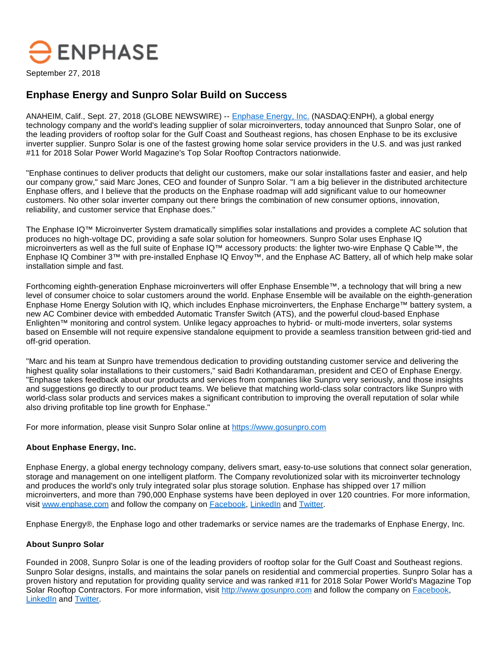# $\bigtriangledown$  ENPHASE

September 27, 2018

## **Enphase Energy and Sunpro Solar Build on Success**

ANAHEIM, Calif., Sept. 27, 2018 (GLOBE NEWSWIRE) -- [Enphase Energy, Inc.](https://www.globenewswire.com/Tracker?data=dOZZqN82kom7uWtu2GsXThhBvzqHInUqws9jPDWQViM2MLKMQ0Eff1AQgIM4TEVvNsa7UPUTvWCQxj3FVH8fVW7uXfmKnStOn5n6yVmjwR8=) (NASDAQ:ENPH), a global energy technology company and the world's leading supplier of solar microinverters, today announced that Sunpro Solar, one of the leading providers of rooftop solar for the Gulf Coast and Southeast regions, has chosen Enphase to be its exclusive inverter supplier. Sunpro Solar is one of the fastest growing home solar service providers in the U.S. and was just ranked #11 for 2018 Solar Power World Magazine's Top Solar Rooftop Contractors nationwide.

"Enphase continues to deliver products that delight our customers, make our solar installations faster and easier, and help our company grow," said Marc Jones, CEO and founder of Sunpro Solar. "I am a big believer in the distributed architecture Enphase offers, and I believe that the products on the Enphase roadmap will add significant value to our homeowner customers. No other solar inverter company out there brings the combination of new consumer options, innovation, reliability, and customer service that Enphase does."

The Enphase IQ™ Microinverter System dramatically simplifies solar installations and provides a complete AC solution that produces no high-voltage DC, providing a safe solar solution for homeowners. Sunpro Solar uses Enphase IQ microinverters as well as the full suite of Enphase IQ™ accessory products: the lighter two-wire Enphase Q Cable™, the Enphase IQ Combiner 3™ with pre-installed Enphase IQ Envoy™, and the Enphase AC Battery, all of which help make solar installation simple and fast.

Forthcoming eighth-generation Enphase microinverters will offer Enphase Ensemble™, a technology that will bring a new level of consumer choice to solar customers around the world. Enphase Ensemble will be available on the eighth-generation Enphase Home Energy Solution with IQ, which includes Enphase microinverters, the Enphase Encharge™ battery system, a new AC Combiner device with embedded Automatic Transfer Switch (ATS), and the powerful cloud-based Enphase Enlighten™ monitoring and control system. Unlike legacy approaches to hybrid- or multi-mode inverters, solar systems based on Ensemble will not require expensive standalone equipment to provide a seamless transition between grid-tied and off-grid operation.

"Marc and his team at Sunpro have tremendous dedication to providing outstanding customer service and delivering the highest quality solar installations to their customers," said Badri Kothandaraman, president and CEO of Enphase Energy. "Enphase takes feedback about our products and services from companies like Sunpro very seriously, and those insights and suggestions go directly to our product teams. We believe that matching world-class solar contractors like Sunpro with world-class solar products and services makes a significant contribution to improving the overall reputation of solar while also driving profitable top line growth for Enphase."

For more information, please visit Sunpro Solar online at [https://www.gosunpro.com](https://www.globenewswire.com/Tracker?data=XykTDMLIW1KZL_FMXpiBIb4vGzjEpjoMvurNksNuZfaOfE7tRUjuXE_chfE-KzFnJba34OyJLqOY7Y36igjF3ntUd3o-6VB0c8oR39wCvQU=)

### **About Enphase Energy, Inc.**

Enphase Energy, a global energy technology company, delivers smart, easy-to-use solutions that connect solar generation, storage and management on one intelligent platform. The Company revolutionized solar with its microinverter technology and produces the world's only truly integrated solar plus storage solution. Enphase has shipped over 17 million microinverters, and more than 790,000 Enphase systems have been deployed in over 120 countries. For more information, visit [www.enphase.com](https://www.globenewswire.com/Tracker?data=l6474zli__VMQ2IvsQOVic2R-VSoVNWxmno6v8MjJgyN0hlX1-yNtsrRQRMF8jEBB77SNg3Hra9Awkg38Bxerw==) and follow the company on [Facebook](https://www.globenewswire.com/Tracker?data=fHiCVX__3Dhd0Z5Jmvb49d-TYa5vy5J1NXku_f0pVpkg7_ntV0I41u59jOyoEEtch9WnDZC0ZGc1AumyecKAGArNDMLiNWyhfT_dujUldWE=), [LinkedIn](https://www.globenewswire.com/Tracker?data=wnYH_q2eNZcqW5qmcBBUT7lEGBI7FQSAGvRhrYrUYSvzWzP4W5PrT5mONfx0lH2xsLndH4WOz3JsEAcZjRTyUVPvMAomn5gB808IUpPVELA=) and [Twitter.](https://www.globenewswire.com/Tracker?data=ycyBEzlLKISDYC-OlecbMXJiFZL8aXldw5Ci00Vr_eOXmgUnsWO9fvoayo56suMuzmrbjyuDI5GQw1U4rrEKAQ==)

Enphase Energy®, the Enphase logo and other trademarks or service names are the trademarks of Enphase Energy, Inc.

### **About Sunpro Solar**

Founded in 2008, Sunpro Solar is one of the leading providers of rooftop solar for the Gulf Coast and Southeast regions. Sunpro Solar designs, installs, and maintains the solar panels on residential and commercial properties. Sunpro Solar has a proven history and reputation for providing quality service and was ranked #11 for 2018 Solar Power World's Magazine Top Solar Rooftop Contractors. For more information, visit [http://www.gosunpro.com](https://www.globenewswire.com/Tracker?data=0BAah5YWwEiAgYjsQPzdxLO7WnxI1k6F93z-MA6dyMo-1JSmdW2W2BrSerWNcbHZPn9lJCSI5gfN0FT2KMME3bi0GHh4C0VFqI9zvLapTcw=) and follow the company on [Facebook,](https://www.globenewswire.com/Tracker?data=fHiCVX__3Dhd0Z5Jmvb49RVp_KH2o8bLc6bXEhjfNZhl-l7O5k8_AD3xX63O4j0rI4jBs48qyC89nlHFUWp6fg==) [LinkedIn](https://www.globenewswire.com/Tracker?data=wnYH_q2eNZcqW5qmcBBUTyAv1R9252X6-w1Wstr7ZOEZAIsLPW4XI_9ejRPq5Iud0Ipr4-G_W0ghgi5wPh8IT5II7D0E0RY2d1GGOP7Mxm5-ifmq7hRpGcDsFKaQFLY9) and [Twitter](https://www.globenewswire.com/Tracker?data=ycyBEzlLKISDYC-OlecbMTxoyOVxByiELrL_SShD3zmrPSGz89CD0_eubQgArw44pGaMth9W1DYnl6AMthTAEg==).